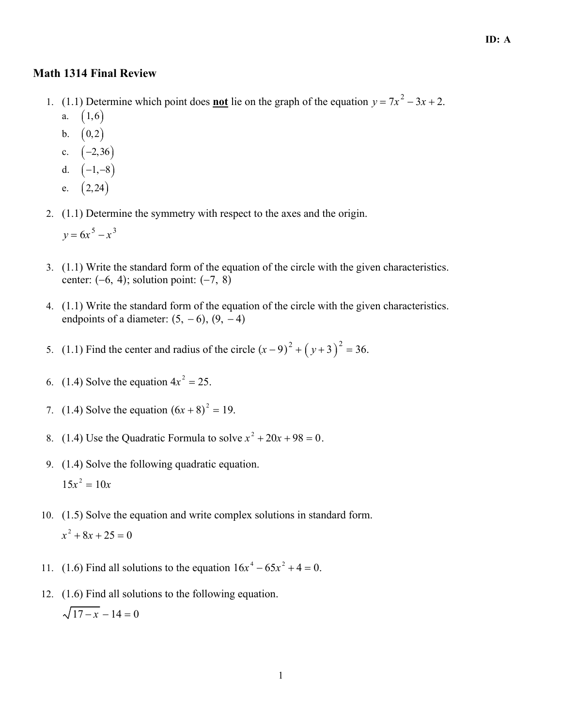## **Math 1314 Final Review**

- 1. (1.1) Determine which point does **not** lie on the graph of the equation  $y = 7x^2 3x + 2$ .  $(1,6)$  $a.$ 
	- b.  $(0,2)$
	- c.  $(-2, 36)$
	- d.  $(-1,-8)$
	- e.  $(2,24)$
- 2. (1.1) Determine the symmetry with respect to the axes and the origin.
	- $y = 6x^5 x^3$
- 3. (1.1) Write the standard form of the equation of the circle with the given characteristics. center:  $(-6, 4)$ ; solution point:  $(-7, 8)$
- 4. (1.1) Write the standard form of the equation of the circle with the given characteristics. endpoints of a diameter:  $(5, -6)$ ,  $(9, -4)$
- 5. (1.1) Find the center and radius of the circle  $(x-9)^2 + (y+3)^2 = 36$ .
- 6. (1.4) Solve the equation  $4x^2 = 25$ .
- 7. (1.4) Solve the equation  $(6x + 8)^2 = 19$ .
- 8. (1.4) Use the Quadratic Formula to solve  $x^2 + 20x + 98 = 0$ .
- 9. (1.4) Solve the following quadratic equation.  $15x^2 = 10x$
- 10. (1.5) Solve the equation and write complex solutions in standard form.  $x^2 + 8x + 25 = 0$
- 11. (1.6) Find all solutions to the equation  $16x^4 65x^2 + 4 = 0$ .
- 12. (1.6) Find all solutions to the following equation.  $\sqrt{17-x} - 14 = 0$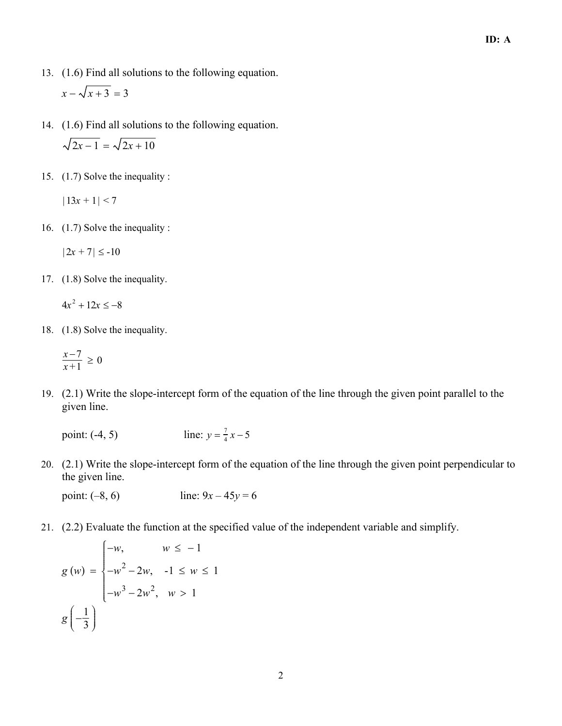- 13. (1.6) Find all solutions to the following equation.  $x - \sqrt{x + 3} = 3$
- 14. (1.6) Find all solutions to the following equation.  $\sqrt{2x-1} = \sqrt{2x+10}$
- 15. (1.7) Solve the inequality :

 $|13x + 1| < 7$ 

16. (1.7) Solve the inequality :

$$
|2x+7| \leq -10
$$

17. (1.8) Solve the inequality.

 $4x^2 + 12x \le -8$ 

18. (1.8) Solve the inequality.

$$
\frac{x-7}{x+1} \ge 0
$$

 19. (2.1) Write the slope-intercept form of the equation of the line through the given point parallel to the given line.

point:  $(-4, 5)$ 7  $\frac{7}{4}x-5$ 

 20. (2.1) Write the slope-intercept form of the equation of the line through the given point perpendicular to the given line.

point:  $(-8, 6)$  line:  $9x - 45y = 6$ 

21. (2.2) Evaluate the function at the specified value of the independent variable and simplify.

$$
g(w) = \begin{cases} -w, & w \le -1 \\ -w^2 - 2w, & -1 \le w \le 1 \\ -w^3 - 2w^2, & w > 1 \end{cases}
$$

$$
g\left(-\frac{1}{3}\right)
$$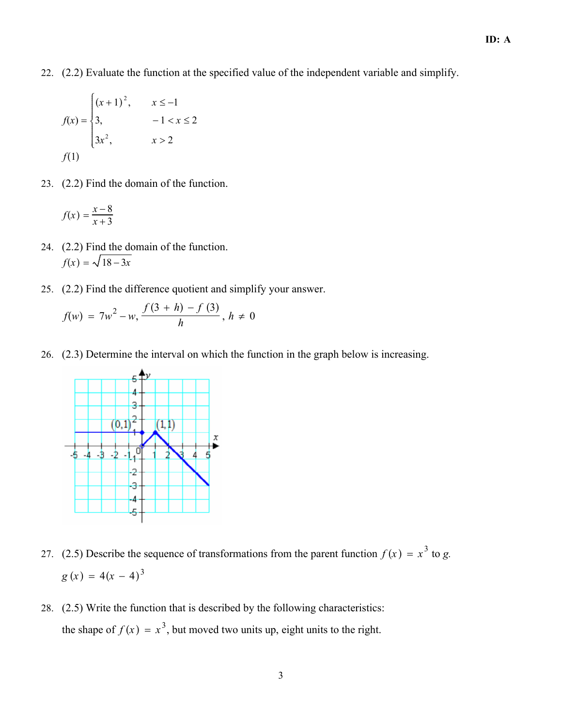22. (2.2) Evaluate the function at the specified value of the independent variable and simplify.

$$
f(x) = \begin{cases} (x+1)^2, & x \le -1 \\ 3, & -1 < x \le 2 \\ 3x^2, & x > 2 \end{cases}
$$

23. (2.2) Find the domain of the function.

$$
f(x) = \frac{x-8}{x+3}
$$

- 24. (2.2) Find the domain of the function.  $f(x) = \sqrt{18 - 3x}$
- 25. (2.2) Find the difference quotient and simplify your answer.

$$
f(w) = 7w^{2} - w, \frac{f(3+h) - f(3)}{h}, h \neq 0
$$

26. (2.3) Determine the interval on which the function in the graph below is increasing.



- 27. (2.5) Describe the sequence of transformations from the parent function  $f(x) = x^3$  to g.  $g(x) = 4(x - 4)^3$ 
	- 28. (2.5) Write the function that is described by the following characteristics: the shape of  $f(x) = x^3$ , but moved two units up, eight units to the right.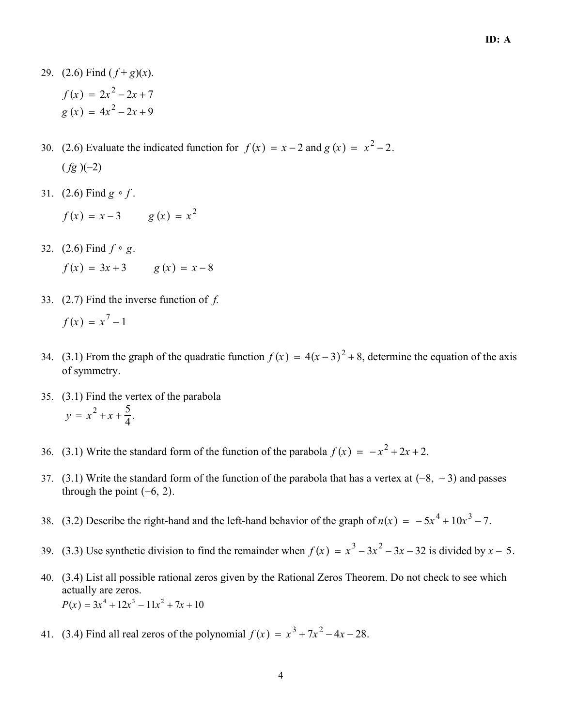- 29. (2.6) Find  $(f+g)(x)$ .  $f(x) = 2x^2 - 2x + 7$  $g(x) = 4x^2 - 2x + 9$
- 30. (2.6) Evaluate the indicated function for  $f(x) = x 2$  and  $g(x) = x^2 2$ .  $(fg)(-2)$ 
	- 31. (2.6) Find  $g \circ f$ .
		- $f(x) = x 3$  g  $(x) = x<sup>2</sup>$
	- 32. (2.6) Find  $f \circ g$ .

$$
f(x) = 3x + 3 \t g(x) = x - 8
$$

- 33.  $(2.7)$  Find the inverse function of f.  $f(x) = x^{7} - 1$
- 34. (3.1) From the graph of the quadratic function  $f(x) = 4(x-3)^2 + 8$ , determine the equation of the axis of symmetry.
	- 35. (3.1) Find the vertex of the parabola  $y = x^2 + x + \frac{5}{4}$  $\frac{3}{4}$ .
- 36. (3.1) Write the standard form of the function of the parabola  $f(x) = -x^2 + 2x + 2$ .
	- 37. (3.1) Write the standard form of the function of the parabola that has a vertex at  $(-8, -3)$  and passes through the point  $(-6, 2)$ .
- 38. (3.2) Describe the right-hand and the left-hand behavior of the graph of  $n(x) = -5x^4 + 10x^3 7$ .
- 39. (3.3) Use synthetic division to find the remainder when  $f(x) = x^3 3x^2 3x 32$  is divided by  $x 5$ .
	- 40. (3.4) List all possible rational zeros given by the Rational Zeros Theorem. Do not check to see which actually are zeros.  $P(x) = 3x^4 + 12x^3 - 11x^2 + 7x + 10$
- 41. (3.4) Find all real zeros of the polynomial  $f(x) = x^3 + 7x^2 4x 28$ .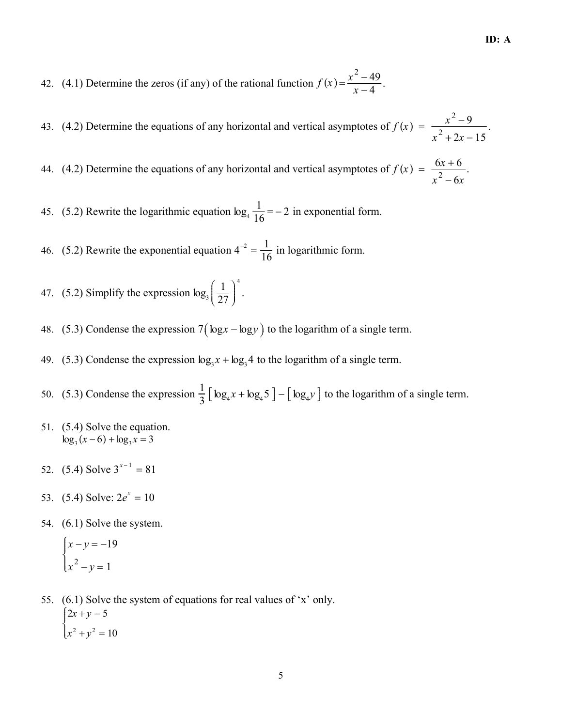42. (4.1) Determine the zeros (if any) of the rational function  $f(x) = \frac{x^2 - 49}{x - 4}$ .

43. (4.2) Determine the equations of any horizontal and vertical asymptotes of  $f(x) = \frac{x^2 - 9}{x^2 + 2x - 15}$ .

44. (4.2) Determine the equations of any horizontal and vertical asymptotes of  $f(x) = \frac{6x+6}{x^2-6x}$ .

45. (5.2) Rewrite the logarithmic equation  $\log_4 \frac{1}{16} = -2$  in exponential form.

46. (5.2) Rewrite the exponential equation  $4^{-2} = \frac{1}{16}$  in logarithmic form.

47. (5.2) Simplify the expression  $\log_3\left(\frac{1}{27}\right)^4$ .

- 48. (5.3) Condense the expression  $7(\log x \log y)$  to the logarithm of a single term.
- 49. (5.3) Condense the expression  $\log_3 x + \log_3 4$  to the logarithm of a single term.
- 50. (5.3) Condense the expression  $\frac{1}{3} [\log_4 x + \log_4 5] [\log_4 y]$  to the logarithm of a single term.
- 51. (5.4) Solve the equation.  $\log_3(x-6) + \log_3 x = 3$
- 52. (5.4) Solve  $3^{x-1} = 81$
- 53.  $(5.4)$  Solve:  $2e^{x} = 10$
- 54. (6.1) Solve the system.

$$
\begin{cases} x - y = -19 \\ x^2 - y = 1 \end{cases}
$$

55. (6.1) Solve the system of equations for real values of 'x' only.  $\int \frac{2x + y = 5}{x^2 + y^2} = 10$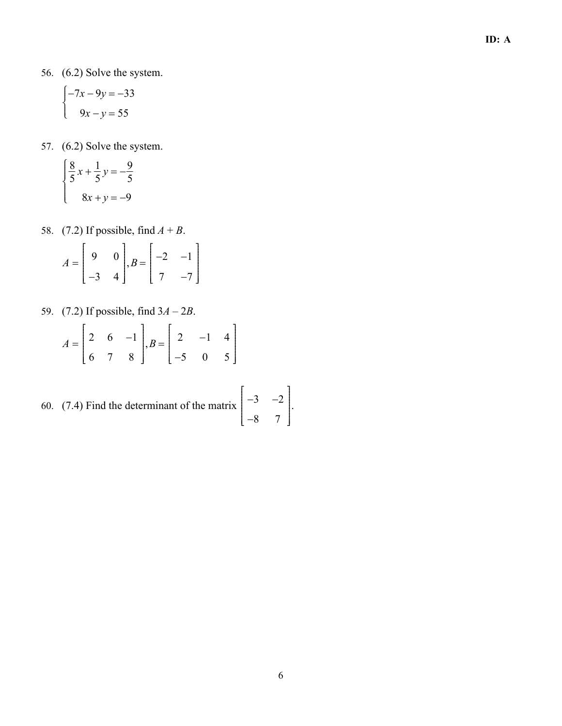56. (6.2) Solve the system.

$$
\begin{cases}\n-7x - 9y = -33 \\
9x - y = 55\n\end{cases}
$$

57. (6.2) Solve the system.

$$
\begin{cases} \frac{8}{5}x + \frac{1}{5}y = -\frac{9}{5} \\ 8x + y = -9 \end{cases}
$$

58. (7.2) If possible, find  $A + B$ .

$$
A = \begin{bmatrix} 9 & 0 \\ -3 & 4 \end{bmatrix}, B = \begin{bmatrix} -2 & -1 \\ 7 & -7 \end{bmatrix}
$$

59. (7.2) If possible, find  $3A - 2B$ .

$$
A = \begin{bmatrix} 2 & 6 & -1 \\ 6 & 7 & 8 \end{bmatrix}, B = \begin{bmatrix} 2 & -1 & 4 \\ -5 & 0 & 5 \end{bmatrix}
$$

60. (7.4) Find the determinant of the matrix  $\begin{vmatrix} -3 & -2 \end{vmatrix}$ −8 7 È Î ÍÍÍÍÍÍÍÍÍÍÍÍÍ  $\overline{1}$ ˚ ˙˙˙˙˙˙˙˙˙˙˙˙˙

.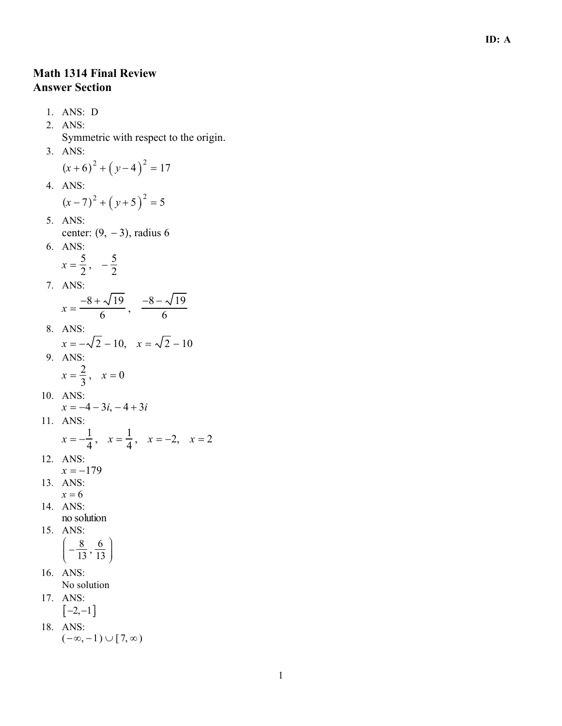## **Math 1314 Final Review Answer Section**

1. ANS: D 2. ANS: Symmetric with respect to the origin. 3. ANS:  $(x+6)^{2} + (y-4)^{2} = 17$ 4. ANS:  $(x-7)^{2} + (y+5)^{2} = 5$ 5. ANS: center:  $(9, -3)$ , radius 6 6. ANS:  $x = \frac{5}{2}, -\frac{5}{2}$ 7. ANS:  $x = \frac{-8 + \sqrt{19}}{6}$ ,  $\frac{-8 - \sqrt{19}}{6}$ 8. ANS:  $x = -\sqrt{2} - 10$ ,  $x = \sqrt{2} - 10$ 9. ANS:  $x = \frac{2}{3}, x = 0$ 10. ANS:  $x = -4 - 3i, -4 + 3i$ 11. ANS:  $x = -\frac{1}{4}$ ,  $x = \frac{1}{4}$ ,  $x = -2$ ,  $x = 2$ 12. ANS:  $x = -179$ 13. ANS:  $x = 6$ 14. ANS: no solution 15. ANS:  $\left(-\frac{8}{13},\frac{6}{13}\right)$ 16. ANS: No solution 17. ANS:  $[-2,-1]$ 18. ANS:  $(-\infty,-1) \cup [7,\infty)$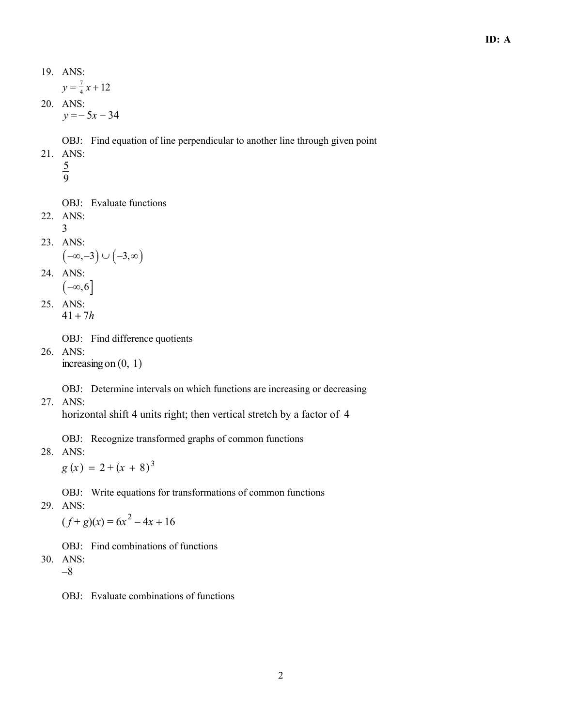$y = \frac{7}{4}$  $\frac{7}{4}x + 12$ 

 20. ANS:  $y = -5x - 34$ 

OBJ: Find equation of line perpendicular to another line through given point

- 21. ANS:
	- 5
		- 9

OBJ: Evaluate functions

- 22. ANS: 3
- 23. ANS:

$$
\left( -\infty,-3 \right) \cup \left( -3,\infty \right)
$$

24. ANS:

$$
\stackrel{\cdot \pi \,\cdot \!\!\cdot \!\!\cdot \!\!\!\cdot \!\!\!\cdot }{(-\infty,6]}
$$

 25. ANS:  $41 + 7h$ 

OBJ: Find difference quotients

 26. ANS: increasing on  $(0, 1)$ 

OBJ: Determine intervals on which functions are increasing or decreasing

27. ANS:

horizontal shift 4 units right; then vertical stretch by a factor of 4

OBJ: Recognize transformed graphs of common functions

28. ANS:

 $g(x) = 2 + (x + 8)^3$ 

OBJ: Write equations for transformations of common functions

29. ANS:

 $(f+g)(x) = 6x^2 - 4x + 16$ 

OBJ: Find combinations of functions

- 30. ANS: –8
	- OBJ: Evaluate combinations of functions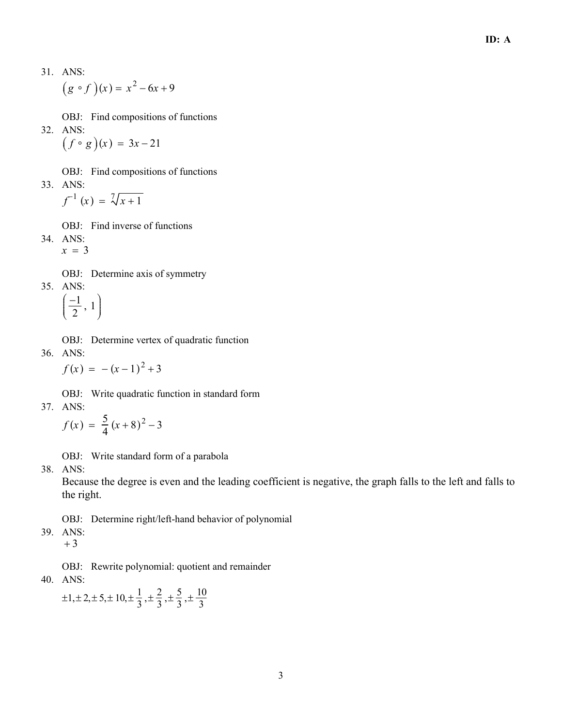$$
(g \circ f)(x) = x^2 - 6x + 9
$$

- OBJ: Find compositions of functions
- 32. ANS:

 $(f \circ g)(x) = 3x-21$ 

OBJ: Find compositions of functions 33. ANS:

$$
f^{-1}(x) = \sqrt[7]{x+1}
$$

OBJ: Find inverse of functions

34. ANS:  $x = 3$ 

OBJ: Determine axis of symmetry

35. ANS:  $\left(\frac{-1}{2}, 1\right)$ 

OBJ: Determine vertex of quadratic function 36. ANS:  $f(x) = -(x-1)^2 + 3$ 

OBJ: Write quadratic function in standard form

37. ANS:

$$
f(x) = \frac{5}{4}(x+8)^2 - 3
$$

OBJ: Write standard form of a parabola

38. ANS:

Because the degree is even and the leading coefficient is negative, the graph falls to the left and falls to the right.

OBJ: Determine right/left-hand behavior of polynomial

39. ANS:

 $+3$ 

OBJ: Rewrite polynomial: quotient and remainder

40. ANS:

 $\pm 1, \pm 2, \pm 5, \pm 10, \pm \frac{1}{3}, \pm \frac{2}{3}, \pm \frac{5}{3}, \pm \frac{10}{3}$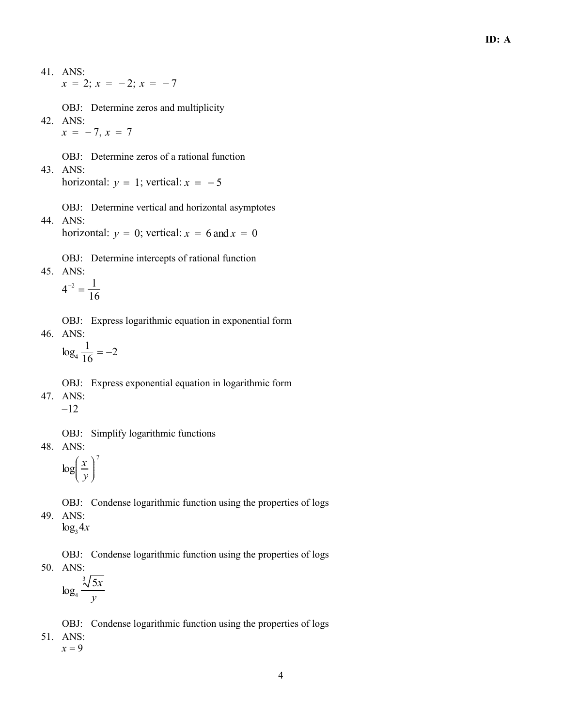$x = 2$ ;  $x = -2$ ;  $x = -7$ 

OBJ: Determine zeros and multiplicity

42. ANS:  $x = -7, x = 7$ 

OBJ: Determine zeros of a rational function

43. ANS: horizontal:  $y = 1$ ; vertical:  $x = -5$ 

OBJ: Determine vertical and horizontal asymptotes 44. ANS:

horizontal:  $y = 0$ ; vertical:  $x = 6$  and  $x = 0$ 

- OBJ: Determine intercepts of rational function
- 45. ANS:

$$
4^{-2}=\frac{1}{16}
$$

OBJ: Express logarithmic equation in exponential form 46. ANS:

 $\log_4 \frac{1}{16} = -2$ 

- OBJ: Express exponential equation in logarithmic form 47. ANS:  $-12$ OBJ: Simplify logarithmic functions
- 48. ANS:

$$
\log\left(\frac{x}{y}\right)^7
$$

- OBJ: Condense logarithmic function using the properties of logs
- 49. ANS:  $\log_{3} 4x$

OBJ: Condense logarithmic function using the properties of logs 50. ANS:  $\sqrt{3}$ 

$$
\log_4 \frac{\sqrt[3]{5x}}{y}
$$

OBJ: Condense logarithmic function using the properties of logs

51. ANS:  $x = 9$